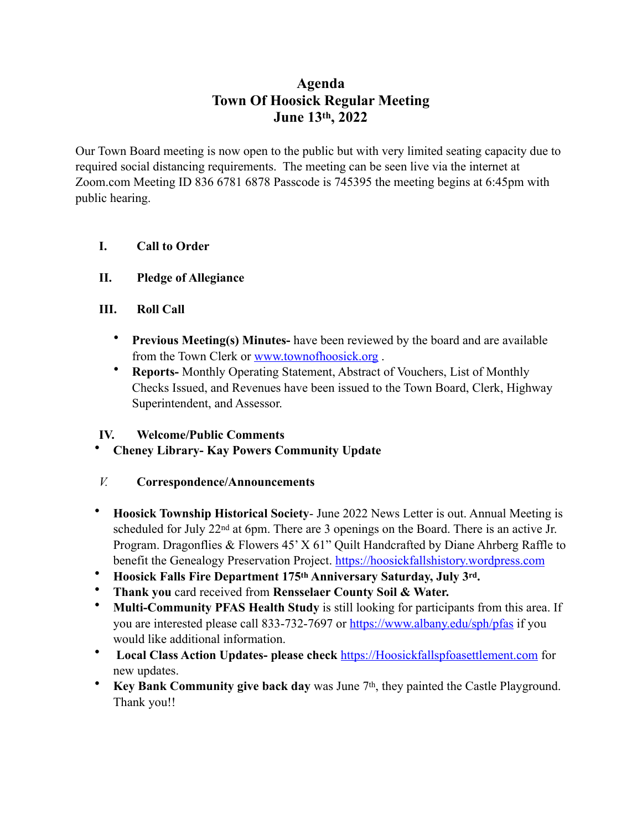# **Agenda Town Of Hoosick Regular Meeting June 13th, 2022**

Our Town Board meeting is now open to the public but with very limited seating capacity due to required social distancing requirements. The meeting can be seen live via the internet at Zoom.com Meeting ID 836 6781 6878 Passcode is 745395 the meeting begins at 6:45pm with public hearing.

- **I. Call to Order**
- **II. Pledge of Allegiance**
- **III. Roll Call** 
	- **Previous Meeting(s) Minutes-** have been reviewed by the board and are available from the Town Clerk or [www.townofhoosick.org](http://www.townofhoosick.org) .
	- **Reports-** Monthly Operating Statement, Abstract of Vouchers, List of Monthly Checks Issued, and Revenues have been issued to the Town Board, Clerk, Highway Superintendent, and Assessor.

### **IV. Welcome/Public Comments**

• **Cheney Library- Kay Powers Community Update** 

### *V.* **Correspondence/Announcements**

- **Hoosick Township Historical Society** June 2022 News Letter is out. Annual Meeting is scheduled for July 22<sup>nd</sup> at 6pm. There are 3 openings on the Board. There is an active Jr. Program. Dragonflies & Flowers 45' X 61" Quilt Handcrafted by Diane Ahrberg Raffle to benefit the Genealogy Preservation Project. <https://hoosickfallshistory.wordpress.com>
- **Hoosick Falls Fire Department 175th Anniversary Saturday, July 3rd.**
- **Thank you** card received from **Rensselaer County Soil & Water.**
- **Multi-Community PFAS Health Study** is still looking for participants from this area. If you are interested please call 833-732-7697 or <https://www.albany.edu/sph/pfas> if you would like additional information.
- **Local Class Action Updates- please check** <https://Hoosickfallspfoasettlement.com> for new updates.
- **Key Bank Community give back day** was June 7<sup>th</sup>, they painted the Castle Playground. Thank you!!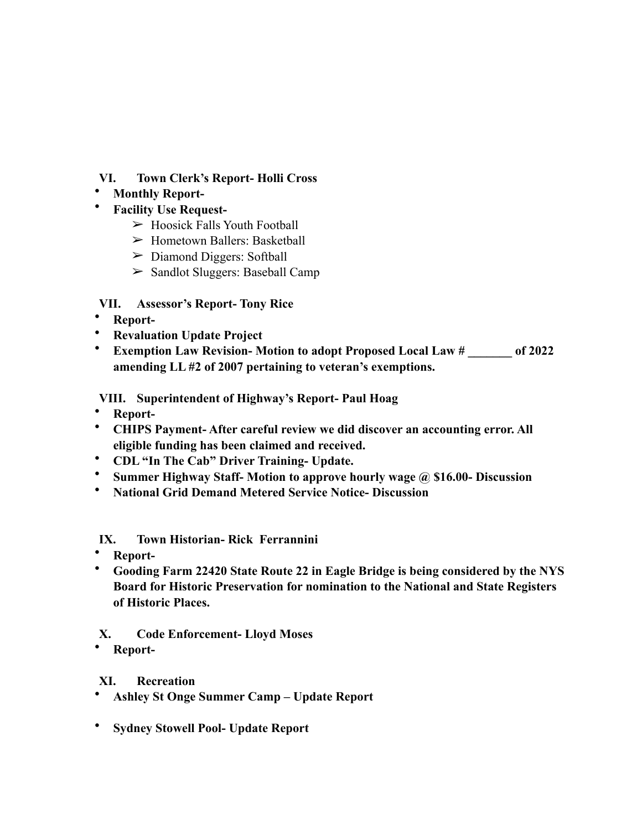### **VI. Town Clerk's Report- Holli Cross**

# • **Monthly Report-**

- **Facility Use Request-** 
	- $\triangleright$  Hoosick Falls Youth Football
	- $\triangleright$  Hometown Ballers: Basketball
	- $\triangleright$  Diamond Diggers: Softball
	- $\geq$  Sandlot Sluggers: Baseball Camp

### **VII. Assessor's Report- Tony Rice**

- **Report-**
- **Revaluation Update Project**
- **Exemption Law Revision- Motion to adopt Proposed Local Law # \_\_\_\_\_\_\_ of 2022 amending LL #2 of 2007 pertaining to veteran's exemptions.**

### **VIII. Superintendent of Highway's Report- Paul Hoag**

- **Report-**
- **CHIPS Payment- After careful review we did discover an accounting error. All eligible funding has been claimed and received.**
- **CDL "In The Cab" Driver Training- Update.**
- **Summer Highway Staff- Motion to approve hourly wage @ \$16.00- Discussion**
- **National Grid Demand Metered Service Notice- Discussion**

### **IX. Town Historian- Rick Ferrannini**

- **Report-**
- **Gooding Farm 22420 State Route 22 in Eagle Bridge is being considered by the NYS Board for Historic Preservation for nomination to the National and State Registers of Historic Places.**

### **X. Code Enforcement- Lloyd Moses**

• **Report-**

### **XI. Recreation**

- **Ashley St Onge Summer Camp Update Report**
- **Sydney Stowell Pool- Update Report**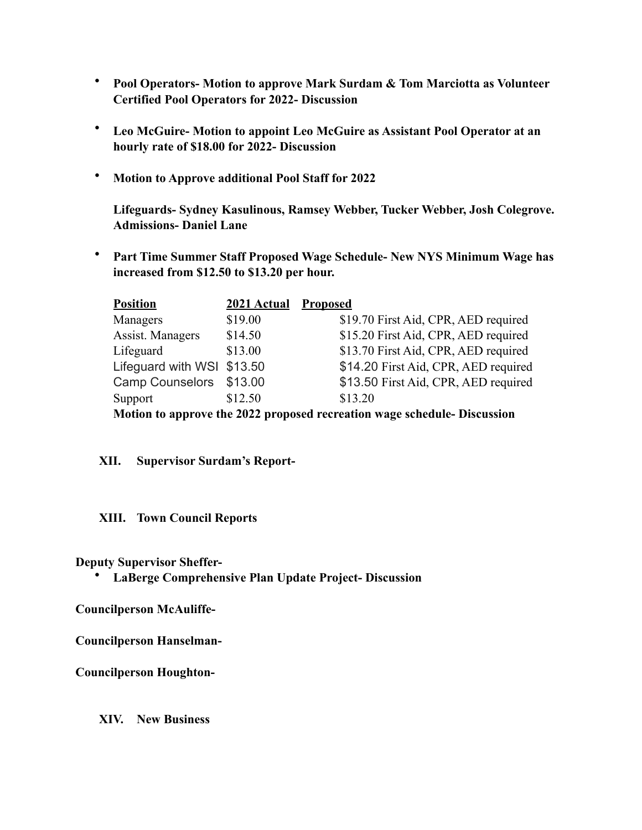- **Pool Operators- Motion to approve Mark Surdam & Tom Marciotta as Volunteer Certified Pool Operators for 2022- Discussion**
- **Leo McGuire- Motion to appoint Leo McGuire as Assistant Pool Operator at an hourly rate of \$18.00 for 2022- Discussion**
- **Motion to Approve additional Pool Staff for 2022**

 **Lifeguards- Sydney Kasulinous, Ramsey Webber, Tucker Webber, Josh Colegrove. Admissions- Daniel Lane** 

• **Part Time Summer Staff Proposed Wage Schedule- New NYS Minimum Wage has increased from \$12.50 to \$13.20 per hour.** 

| <b>Position</b>                                                          | 2021 Actual | <b>Proposed</b>                      |
|--------------------------------------------------------------------------|-------------|--------------------------------------|
| Managers                                                                 | \$19.00     | \$19.70 First Aid, CPR, AED required |
| Assist. Managers                                                         | \$14.50     | \$15.20 First Aid, CPR, AED required |
| Lifeguard                                                                | \$13.00     | \$13.70 First Aid, CPR, AED required |
| Lifeguard with WSI \$13.50                                               |             | \$14.20 First Aid, CPR, AED required |
| Camp Counselors \$13.00                                                  |             | \$13.50 First Aid, CPR, AED required |
| Support                                                                  | \$12.50     | \$13.20                              |
| Motion to annuavo the 2022 nuonased reguestion wege schedule. Discussion |             |                                      |

**Motion to approve the 2022 proposed recreation wage schedule- Discussion** 

#### **XII. Supervisor Surdam's Report-**

#### **XIII. Town Council Reports**

**Deputy Supervisor Sheffer-** 

• **LaBerge Comprehensive Plan Update Project- Discussion** 

**Councilperson McAuliffe-**

**Councilperson Hanselman-** 

**Councilperson Houghton-**

**XIV. New Business**